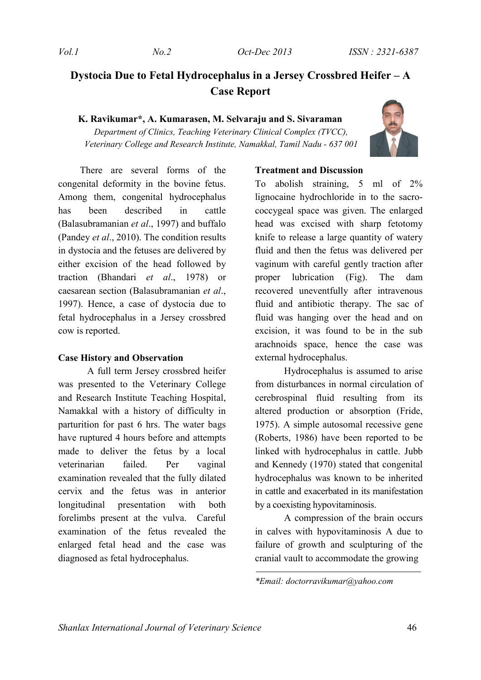# **Dystocia Due to Fetal Hydrocephalus in a Jersey Crossbred Heifer – A Case Report**

**K. Ravikumar\*, A. Kumarasen, M. Selvaraju and S. Sivaraman** 

*Department of Clinics, Teaching Veterinary Clinical Complex (TVCC), Veterinary College and Research Institute, Namakkal, Tamil Nadu - 637 001*



There are several forms of the congenital deformity in the bovine fetus. Among them, congenital hydrocephalus has been described in cattle (Balasubramanian *et al*., 1997) and buffalo (Pandey *et al*., 2010). The condition results in dystocia and the fetuses are delivered by either excision of the head followed by traction (Bhandari *et al*., 1978) or caesarean section (Balasubramanian *et al*., 1997). Hence, a case of dystocia due to fetal hydrocephalus in a Jersey crossbred cow is reported.

#### **Case History and Observation**

A full term Jersey crossbred heifer was presented to the Veterinary College and Research Institute Teaching Hospital, Namakkal with a history of difficulty in parturition for past 6 hrs. The water bags have ruptured 4 hours before and attempts made to deliver the fetus by a local veterinarian failed. Per vaginal examination revealed that the fully dilated cervix and the fetus was in anterior longitudinal presentation with both forelimbs present at the vulva. Careful examination of the fetus revealed the enlarged fetal head and the case was diagnosed as fetal hydrocephalus.

#### **Treatment and Discussion**

To abolish straining, 5 ml of 2% lignocaine hydrochloride in to the sacrococcygeal space was given. The enlarged head was excised with sharp fetotomy knife to release a large quantity of watery fluid and then the fetus was delivered per vaginum with careful gently traction after proper lubrication (Fig). The dam recovered uneventfully after intravenous fluid and antibiotic therapy. The sac of fluid was hanging over the head and on excision, it was found to be in the sub arachnoids space, hence the case was external hydrocephalus.

Hydrocephalus is assumed to arise from disturbances in normal circulation of cerebrospinal fluid resulting from its altered production or absorption (Fride, 1975). A simple autosomal recessive gene (Roberts, 1986) have been reported to be linked with hydrocephalus in cattle. Jubb and Kennedy (1970) stated that congenital hydrocephalus was known to be inherited in cattle and exacerbated in its manifestation by a coexisting hypovitaminosis.

A compression of the brain occurs in calves with hypovitaminosis A due to failure of growth and sculpturing of the cranial vault to accommodate the growing

*\*Email: doctorravikumar@yahoo.com*